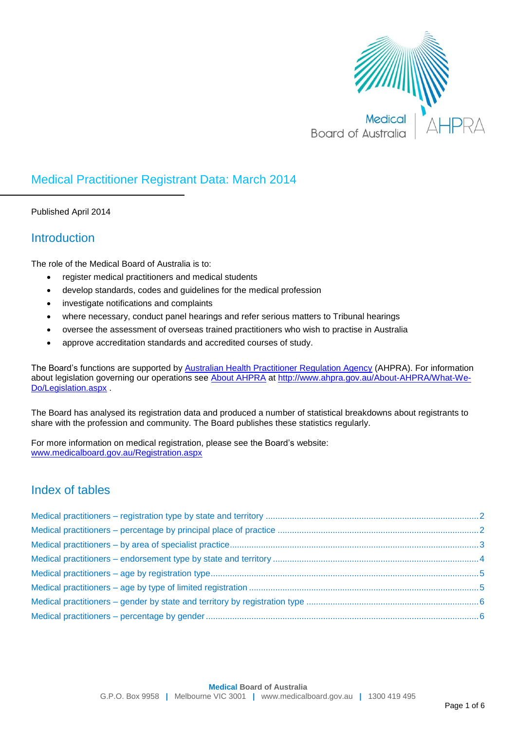

## Medical Practitioner Registrant Data: March 2014

Published April 2014

## **Introduction**

The role of the Medical Board of Australia is to:

- register medical practitioners and medical students
- develop standards, codes and guidelines for the medical profession
- investigate notifications and complaints
- where necessary, conduct panel hearings and refer serious matters to Tribunal hearings
- oversee the assessment of overseas trained practitioners who wish to practise in Australia
- approve accreditation standards and accredited courses of study.

The Board's functions are supported by [Australian Health Practitioner Regulation Agency](http://www.ahpra.gov.au/) (AHPRA). For information about legislation governing our operations see [About AHPRA](http://www.ahpra.gov.au/About-AHPRA/What-We-Do/Legislation.aspx) at [http://www.ahpra.gov.au/About-AHPRA/What-We-](http://www.ahpra.gov.au/About-AHPRA/What-We-Do/Legislation.aspx)[Do/Legislation.aspx](http://www.ahpra.gov.au/About-AHPRA/What-We-Do/Legislation.aspx) .

The Board has analysed its registration data and produced a number of statistical breakdowns about registrants to share with the profession and community. The Board publishes these statistics regularly.

For more information on medical registration, please see the Board's website: [www.medicalboard.gov.au/Registration.aspx](http://www.medicalboard.gov.au/Registration.aspx)

## Index of tables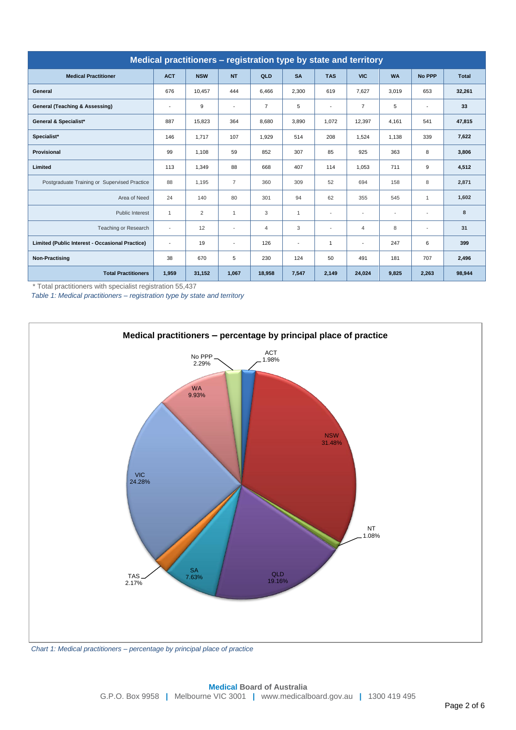<span id="page-1-0"></span>

| Medical practitioners - registration type by state and territory |                          |            |                          |                |                          |                          |                          |                          |                          |              |  |  |
|------------------------------------------------------------------|--------------------------|------------|--------------------------|----------------|--------------------------|--------------------------|--------------------------|--------------------------|--------------------------|--------------|--|--|
| <b>Medical Practitioner</b>                                      | <b>ACT</b>               | <b>NSW</b> | <b>NT</b>                | QLD            | <b>SA</b>                | <b>TAS</b>               | <b>VIC</b>               | <b>WA</b>                | <b>No PPP</b>            | <b>Total</b> |  |  |
| General                                                          | 676                      | 10,457     | 444                      | 6,466          | 2,300                    | 619                      | 7,627                    | 3,019                    | 653                      | 32,261       |  |  |
| General (Teaching & Assessing)                                   | $\overline{\phantom{a}}$ | 9          | $\blacksquare$           | $\overline{7}$ | 5                        | $\overline{\phantom{a}}$ | $\overline{7}$           | 5                        | $\overline{\phantom{a}}$ | 33           |  |  |
| General & Specialist*                                            | 887                      | 15,823     | 364                      | 8,680          | 3,890                    | 1,072                    | 12,397                   | 4,161                    | 541                      | 47,815       |  |  |
| Specialist*                                                      | 146                      | 1,717      | 107                      | 1,929          | 514                      | 208                      | 1,524                    | 1,138                    | 339                      | 7,622        |  |  |
| <b>Provisional</b>                                               | 99                       | 1,108      | 59                       | 852            | 307                      | 85                       | 925                      | 363                      | 8                        | 3,806        |  |  |
| Limited                                                          | 113                      | 1,349      | 88                       | 668            | 407                      | 114                      | 1,053                    | 711                      | 9                        | 4,512        |  |  |
| Postgraduate Training or Supervised Practice                     | 88                       | 1.195      | $\overline{7}$           | 360            | 309                      | 52                       | 694                      | 158                      | 8                        | 2,871        |  |  |
| Area of Need                                                     | 24                       | 140        | 80                       | 301            | 94                       | 62                       | 355                      | 545                      | $\mathbf{1}$             | 1,602        |  |  |
| Public Interest                                                  | $\mathbf{1}$             | 2          | $\overline{1}$           | 3              | $\mathbf{1}$             | $\overline{\phantom{a}}$ | $\overline{\phantom{a}}$ | $\overline{\phantom{a}}$ | $\overline{\phantom{a}}$ | 8            |  |  |
| Teaching or Research                                             | $\overline{\phantom{a}}$ | 12         | $\overline{\phantom{a}}$ | 4              | 3                        | $\overline{\phantom{a}}$ | $\overline{4}$           | 8                        | $\overline{\phantom{a}}$ | 31           |  |  |
| Limited (Public Interest - Occasional Practice)                  | $\overline{\phantom{a}}$ | 19         | $\blacksquare$           | 126            | $\overline{\phantom{a}}$ | 1                        | $\overline{\phantom{a}}$ | 247                      | 6                        | 399          |  |  |
| <b>Non-Practising</b>                                            | 38                       | 670        | 5                        | 230            | 124                      | 50                       | 491                      | 181                      | 707                      | 2,496        |  |  |
| <b>Total Practitioners</b>                                       | 1,959                    | 31,152     | 1,067                    | 18,958         | 7,547                    | 2,149                    | 24,024                   | 9,825                    | 2,263                    | 98,944       |  |  |

\* Total practitioners with specialist registration 55,437

*Table 1: Medical practitioners – registration type by state and territory*

<span id="page-1-1"></span>

*Chart 1: Medical practitioners – percentage by principal place of practice*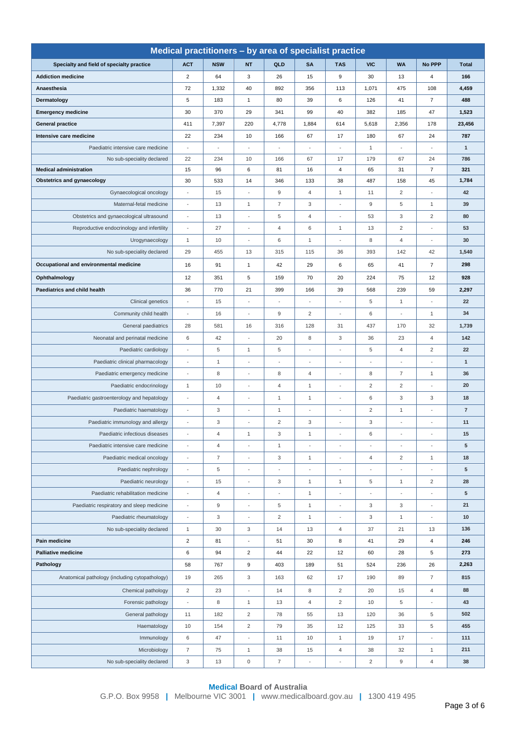<span id="page-2-0"></span>

| Medical practitioners - by area of specialist practice |                          |                |                          |                          |                          |                          |                          |                          |                          |                |  |
|--------------------------------------------------------|--------------------------|----------------|--------------------------|--------------------------|--------------------------|--------------------------|--------------------------|--------------------------|--------------------------|----------------|--|
| Specialty and field of specialty practice              | <b>ACT</b>               | <b>NSW</b>     | <b>NT</b>                | QLD                      | <b>SA</b>                | <b>TAS</b>               | <b>VIC</b>               | <b>WA</b>                | No PPP                   | <b>Total</b>   |  |
| <b>Addiction medicine</b>                              | $\overline{2}$           | 64             | 3                        | 26                       | 15                       | 9                        | 30                       | 13                       | $\overline{4}$           | 166            |  |
| Anaesthesia                                            | 72                       | 1,332          | 40                       | 892                      | 356                      | 113                      | 1,071                    | 475                      | 108                      | 4,459          |  |
| Dermatology                                            | 5                        | 183            | $\mathbf{1}$             | 80                       | 39                       | 6                        | 126                      | 41                       | $\overline{7}$           | 488            |  |
| <b>Emergency medicine</b>                              | 30                       | 370            | 29                       | 341                      | 99                       | 40                       | 382                      | 185                      | 47                       | 1,523          |  |
| <b>General practice</b>                                | 411                      | 7,397          | 220                      | 4,778                    | 1,884                    | 614                      | 5,618                    | 2,356                    | 178                      | 23,456         |  |
| Intensive care medicine                                | 22                       | 234            | 10                       | 166                      | 67                       | 17                       | 180                      | 67                       | 24                       | 787            |  |
| Paediatric intensive care medicine                     | $\overline{\phantom{a}}$ | $\overline{a}$ | $\overline{\phantom{a}}$ | $\overline{\phantom{a}}$ | $\overline{\phantom{a}}$ | $\overline{\phantom{a}}$ | $\mathbf{1}$             | $\overline{\phantom{a}}$ | $\blacksquare$           | $\mathbf{1}$   |  |
| No sub-speciality declared                             | 22                       | 234            | 10                       | 166                      | 67                       | 17                       | 179                      | 67                       | 24                       | 786            |  |
| <b>Medical administration</b>                          | 15                       | 96             | 6                        | 81                       | 16                       | 4                        | 65                       | 31                       | $\overline{7}$           | 321            |  |
| <b>Obstetrics and gynaecology</b>                      | 30                       | 533            | 14                       | 346                      | 133                      | 38                       | 487                      | 158                      | 45                       | 1,784          |  |
| Gynaecological oncology                                | $\overline{a}$           | 15             | ÷                        | 9                        | 4                        | $\mathbf{1}$             | 11                       | 2                        | ÷                        | 42             |  |
| Maternal-fetal medicine                                | $\overline{\phantom{a}}$ | 13             | $\mathbf{1}$             | $\overline{7}$           | 3                        | $\overline{\phantom{a}}$ | 9                        | 5                        | $\mathbf{1}$             | 39             |  |
| Obstetrics and gynaecological ultrasound               | $\overline{\phantom{a}}$ | 13             | ÷,                       | 5                        | 4                        |                          | 53                       | 3                        | $\overline{2}$           | 80             |  |
| Reproductive endocrinology and infertility             | $\overline{\phantom{a}}$ | 27             | ÷,                       | $\overline{4}$           | 6                        | $\mathbf{1}$             | 13                       | $\overline{2}$           | $\overline{\phantom{m}}$ | 53             |  |
| Urogynaecology                                         | $\mathbf{1}$             | 10             | ÷,                       | 6                        | $\mathbf{1}$             | $\overline{\phantom{a}}$ | 8                        | $\overline{4}$           | ÷,                       | 30             |  |
| No sub-speciality declared                             | 29                       | 455            | 13                       | 315                      | 115                      | 36                       | 393                      | 142                      | 42                       | 1,540          |  |
| Occupational and environmental medicine                | 16                       | 91             | $\mathbf{1}$             | 42                       | 29                       | 6                        | 65                       | 41                       | $\overline{7}$           | 298            |  |
| Ophthalmology                                          | 12                       | 351            | 5                        | 159                      | 70                       | 20                       | 224                      | 75                       | 12                       | 928            |  |
| Paediatrics and child health                           | 36                       | 770            | 21                       | 399                      | 166                      | 39                       | 568                      | 239                      | 59                       | 2,297          |  |
| Clinical genetics                                      | ٠                        | 15             |                          | ÷                        |                          |                          | 5                        | $\mathbf{1}$             | ٠                        | 22             |  |
| Community child health                                 | $\overline{\phantom{a}}$ | 16             | $\overline{\phantom{a}}$ | 9                        | $\overline{2}$           | $\overline{\phantom{a}}$ | 6                        | $\overline{\phantom{a}}$ | $\mathbf{1}$             | 34             |  |
| General paediatrics                                    | 28                       | 581            | 16                       | 316                      | 128                      | 31                       | 437                      | 170                      | 32                       | 1,739          |  |
| Neonatal and perinatal medicine                        | 6                        | 42             | ÷                        | 20                       | 8                        | 3                        | 36                       | 23                       | $\overline{4}$           | 142            |  |
| Paediatric cardiology                                  | $\overline{\phantom{a}}$ | $\,$ 5 $\,$    | $\mathbf{1}$             | 5                        | $\overline{\phantom{a}}$ | $\overline{\phantom{a}}$ | 5                        | $\overline{4}$           | 2                        | 22             |  |
| Paediatric clinical pharmacology                       | $\overline{\phantom{a}}$ | $\mathbf{1}$   | ÷,                       | $\overline{\phantom{a}}$ | $\overline{\phantom{a}}$ | $\overline{\phantom{a}}$ | $\overline{\phantom{a}}$ | ÷,                       | ÷                        | $\mathbf{1}$   |  |
| Paediatric emergency medicine                          | $\overline{\phantom{a}}$ | 8              | ÷,                       | 8                        | 4                        | $\overline{\phantom{a}}$ | 8                        | $\overline{7}$           | $\mathbf{1}$             | 36             |  |
| Paediatric endocrinology                               | $\mathbf{1}$             | 10             | ÷,                       | $\overline{4}$           | $\mathbf{1}$             |                          | $\overline{2}$           | $\overline{2}$           |                          | 20             |  |
| Paediatric gastroenterology and hepatology             | $\overline{\phantom{a}}$ | $\overline{4}$ | ÷,                       | $\mathbf{1}$             | $\mathbf{1}$             | $\overline{\phantom{a}}$ | 6                        | 3                        | 3                        | 18             |  |
| Paediatric haematology                                 | $\frac{1}{2}$            | 3              | ÷,                       | $\mathbf{1}$             | $\overline{\phantom{a}}$ |                          | $\overline{2}$           | $\mathbf{1}$             | ÷,                       | $\overline{7}$ |  |
| Paediatric immunology and allergy                      | $\overline{\phantom{a}}$ | 3              | ÷                        | $\overline{2}$           | 3                        |                          | 3                        | ÷                        |                          | 11             |  |
| Paediatric infectious diseases                         | $\overline{\phantom{a}}$ | 4              | $\mathbf{1}$             | 3                        | 1                        | $\overline{\phantom{a}}$ | 6                        | $\overline{\phantom{a}}$ | $\overline{\phantom{a}}$ | 15             |  |
| Paediatric intensive care medicine                     | $\overline{\phantom{a}}$ | $\overline{4}$ | $\overline{a}$           | $\mathbf{1}$             | $\overline{\phantom{a}}$ | $\overline{\phantom{a}}$ | $\overline{\phantom{a}}$ | $\overline{\phantom{a}}$ | $\overline{\phantom{a}}$ | 5              |  |
| Paediatric medical oncology                            | $\overline{a}$           | $\overline{7}$ | $\overline{a}$           | 3                        | $\mathbf{1}$             |                          | $\overline{4}$           | $\overline{c}$           | $\mathbf{1}$             | 18             |  |
| Paediatric nephrology                                  | $\overline{\phantom{a}}$ | $\,$ 5 $\,$    | $\overline{\phantom{a}}$ | $\overline{\phantom{a}}$ | $\overline{\phantom{a}}$ | $\overline{\phantom{a}}$ | $\overline{\phantom{a}}$ | $\overline{\phantom{a}}$ | $\overline{\phantom{a}}$ | 5              |  |
| Paediatric neurology                                   | $\overline{\phantom{a}}$ | 15             | $\frac{1}{2}$            | 3                        | $\mathbf{1}$             | $\mathbf{1}$             | 5                        | $\mathbf{1}$             | $\overline{2}$           | 28             |  |
| Paediatric rehabilitation medicine                     | $\overline{\phantom{a}}$ | $\overline{4}$ | ÷,                       | $\overline{\phantom{a}}$ | $\mathbf{1}$             | $\sim$                   | $\overline{\phantom{a}}$ | $\overline{a}$           | $\overline{\phantom{a}}$ | 5              |  |
| Paediatric respiratory and sleep medicine              | $\overline{\phantom{a}}$ | 9              | $\frac{1}{2}$            | 5                        | $\mathbf{1}$             | $\overline{\phantom{a}}$ | 3                        | 3                        | $\overline{\phantom{a}}$ | 21             |  |
| Paediatric rheumatology                                | $\overline{\phantom{a}}$ | 3              | $\overline{a}$           | $\overline{c}$           | $\mathbf{1}$             | $\overline{\phantom{a}}$ | 3                        | $\mathbf{1}$             | $\overline{\phantom{a}}$ | 10             |  |
| No sub-speciality declared                             | $\mathbf{1}$             | 30             | 3                        | 14                       | 13                       | $\overline{4}$           | 37                       | 21                       | 13                       | 136            |  |
| Pain medicine                                          | $\overline{c}$           | 81             | $\overline{a}$           | 51                       | 30                       | 8                        | 41                       | 29                       | 4                        | 246            |  |
| <b>Palliative medicine</b>                             | 6                        | 94             | $\overline{c}$           | 44                       | 22                       | 12                       | 60                       | 28                       | 5                        | 273            |  |
| Pathology                                              | 58                       | 767            | 9                        | 403                      | 189                      | 51                       | 524                      | 236                      | 26                       | 2,263          |  |
| Anatomical pathology (including cytopathology)         | 19                       | 265            | 3                        | 163                      | 62                       | 17                       | 190                      | 89                       | $\overline{7}$           | 815            |  |
| Chemical pathology                                     | 2                        | 23             | $\overline{a}$           | 14                       | 8                        | $\overline{c}$           | 20                       | 15                       | $\overline{4}$           | 88             |  |
| Forensic pathology                                     | $\overline{\phantom{a}}$ | 8              | $\mathbf{1}$             | 13                       | 4                        | $\overline{c}$           | 10                       | 5                        | $\overline{\phantom{a}}$ | 43             |  |
| General pathology                                      | 11                       | 182            | $\overline{2}$           | 78                       | 55                       | 13                       | 120                      | 36                       | $\,$ 5 $\,$              | 502            |  |
| Haematology                                            | 10                       | 154            | $\overline{c}$           | 79                       | 35                       | 12                       | 125                      | 33                       | 5                        | 455            |  |
| Immunology                                             | 6                        | 47             | $\frac{1}{2}$            | 11                       | 10                       | $\mathbf{1}$             | 19                       | 17                       | $\overline{\phantom{a}}$ | 111            |  |
| Microbiology                                           | $\overline{7}$           | 75             | $\mathbf{1}$             | 38                       | 15                       | $\overline{4}$           | 38                       | 32                       | $\mathbf{1}$             | 211            |  |
| No sub-speciality declared                             | 3                        | 13             | $\boldsymbol{0}$         | $\overline{7}$           | $\overline{\phantom{a}}$ | $\overline{\phantom{a}}$ | $\overline{2}$           | 9                        | $\overline{4}$           | 38             |  |
|                                                        |                          |                |                          |                          |                          |                          |                          |                          |                          |                |  |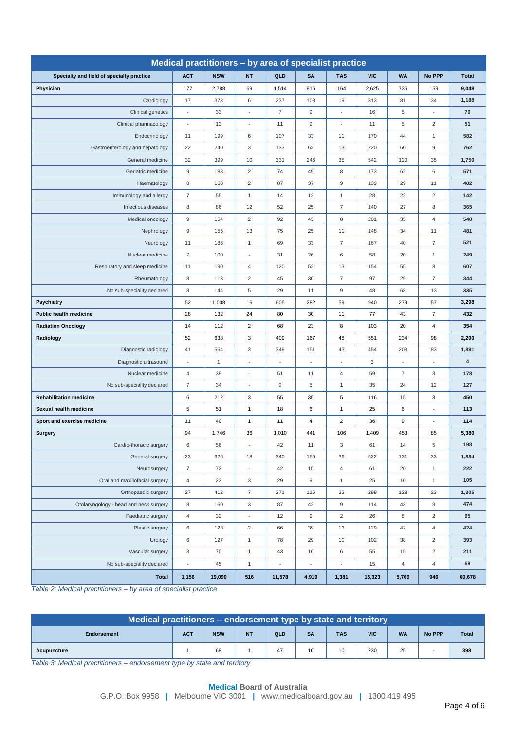| Medical practitioners - by area of specialist practice |                          |              |                           |                          |                          |                          |            |                |                |                |  |
|--------------------------------------------------------|--------------------------|--------------|---------------------------|--------------------------|--------------------------|--------------------------|------------|----------------|----------------|----------------|--|
| Specialty and field of specialty practice              | <b>ACT</b>               | <b>NSW</b>   | <b>NT</b>                 | QLD                      | <b>SA</b>                | <b>TAS</b>               | <b>VIC</b> | <b>WA</b>      | No PPP         | <b>Total</b>   |  |
| Physician                                              | 177                      | 2,788        | 69                        | 1,514                    | 816                      | 164                      | 2,625      | 736            | 159            | 9,048          |  |
| Cardiology                                             | 17                       | 373          | 6                         | 237                      | 108                      | 19                       | 313        | 81             | 34             | 1,188          |  |
| Clinical genetics                                      | L.                       | 33           |                           | $\overline{7}$           | 9                        | ÷                        | 16         | 5              | ÷.             | 70             |  |
| Clinical pharmacology                                  | $\overline{\phantom{a}}$ | 13           | $\overline{\phantom{a}}$  | 11                       | 9                        | $\overline{\phantom{a}}$ | 11         | 5              | $\overline{2}$ | 51             |  |
| Endocrinology                                          | 11                       | 199          | 6                         | 107                      | 33                       | 11                       | 170        | 44             | $\mathbf{1}$   | 582            |  |
| Gastroenterology and hepatology                        | 22                       | 240          | 3                         | 133                      | 62                       | 13                       | 220        | 60             | 9              | 762            |  |
| General medicine                                       | 32                       | 399          | 10                        | 331                      | 246                      | 35                       | 542        | 120            | 35             | 1,750          |  |
| Geriatric medicine                                     | $9\,$                    | 188          | $\overline{c}$            | 74                       | 49                       | 8                        | 173        | 62             | 6              | 571            |  |
| Haematology                                            | 8                        | 160          | $\overline{2}$            | 87                       | 37                       | 9                        | 139        | 29             | 11             | 482            |  |
| Immunology and allergy                                 | $\overline{7}$           | 55           | $\mathbf{1}$              | 14                       | 12                       | $\mathbf{1}$             | 28         | 22             | $\overline{2}$ | 142            |  |
| Infectious diseases                                    | 8                        | 86           | 12                        | 52                       | 25                       | $\overline{7}$           | 140        | 27             | 8              | 365            |  |
| Medical oncology                                       | $\boldsymbol{9}$         | 154          | $\overline{c}$            | 92                       | 43                       | 8                        | 201        | 35             | $\overline{4}$ | 548            |  |
| Nephrology                                             | $9\,$                    | 155          | 13                        | 75                       | 25                       | 11                       | 148        | 34             | 11             | 481            |  |
| Neurology                                              | 11                       | 186          | $\mathbf{1}$              | 69                       | 33                       | $\overline{7}$           | 167        | 40             | $\overline{7}$ | 521            |  |
| Nuclear medicine                                       | $\overline{7}$           | 100          | $\overline{\phantom{a}}$  | 31                       | 26                       | 6                        | 58         | 20             | $\mathbf{1}$   | 249            |  |
| Respiratory and sleep medicine                         | 11                       | 190          | $\overline{4}$            | 120                      | 52                       | 13                       | 154        | 55             | 8              | 607            |  |
| Rheumatology                                           | 8                        | 113          | 2                         | 45                       | 36                       | $\overline{7}$           | 97         | 29             | $\overline{7}$ | 344            |  |
| No sub-speciality declared                             | 8                        | 144          | 5                         | 29                       | 11                       | 9                        | 48         | 68             | 13             | 335            |  |
| <b>Psychiatry</b>                                      | 52                       | 1,008        | 16                        | 605                      | 282                      | 59                       | 940        | 279            | 57             | 3,298          |  |
| <b>Public health medicine</b>                          | 28                       | 132          | 24                        | 80                       | 30                       | 11                       | 77         | 43             | $\overline{7}$ | 432            |  |
| <b>Radiation Oncology</b>                              | 14                       | 112          | $\overline{2}$            | 68                       | 23                       | 8                        | 103        | 20             | 4              | 354            |  |
| Radiology                                              | 52                       | 638          | 3                         | 409                      | 167                      | 48                       | 551        | 234            | 98             | 2,200          |  |
| Diagnostic radiology                                   | 41                       | 564          | 3                         | 349                      | 151                      | 43                       | 454        | 203            | 83             | 1,891          |  |
| Diagnostic ultrasound                                  | L.                       | $\mathbf{1}$ |                           |                          |                          | ÷                        | 3          |                | ٠              | $\overline{4}$ |  |
| Nuclear medicine                                       | $\overline{4}$           | 39           | $\sim$                    | 51                       | 11                       | $\overline{4}$           | 59         | $\overline{7}$ | 3              | 178            |  |
| No sub-speciality declared                             | $\overline{7}$           | 34           |                           | 9                        | 5                        | $\mathbf{1}$             | 35         | 24             | 12             | 127            |  |
| <b>Rehabilitation medicine</b>                         | 6                        | 212          | 3                         | 55                       | 35                       | 5                        | 116        | 15             | 3              | 450            |  |
| Sexual health medicine                                 | 5                        | 51           | 1                         | 18                       | 6                        | $\mathbf{1}$             | 25         | 6              |                | 113            |  |
| Sport and exercise medicine                            | 11                       | 40           | 1                         | 11                       | 4                        | $\overline{c}$           | 36         | 9              | $\blacksquare$ | 114            |  |
| <b>Surgery</b>                                         | 94                       | 1,746        | 36                        | 1,010                    | 441                      | 106                      | 1,409      | 453            | 85             | 5,380          |  |
| Cardio-thoracic surgery                                | 6                        | 56           |                           | 42                       | 11                       | 3                        | 61         | 14             | 5              | 198            |  |
| General surgery                                        | 23                       | 626          | 18                        | 340                      | 155                      | 36                       | 522        | 131            | 33             | 1,884          |  |
| Neurosurgery                                           | $\overline{7}$           | 72           | ÷,                        | 42                       | 15                       | $\overline{4}$           | 61         | 20             | $\mathbf{1}$   | 222            |  |
| Oral and maxillofacial surgery                         | $\sqrt{4}$               | 23           | 3                         | 29                       | $\boldsymbol{9}$         | $\mathbf{1}$             | 25         | 10             | $\mathbf{1}$   | 105            |  |
| Orthopaedic surgery                                    | 27                       | 412          | $\boldsymbol{7}$          | 271                      | 116                      | 22                       | 299        | 128            | 23             | 1,305          |  |
| Otolaryngology - head and neck surgery                 | $\,$ 8 $\,$              | 160          | $\ensuremath{\mathsf{3}}$ | 87                       | 42                       | $\mathsf g$              | 114        | 43             | 8              | 474            |  |
| Paediatric surgery                                     | $\sqrt{4}$               | 32           | $\overline{\phantom{a}}$  | 12                       | 9                        | $\overline{2}$           | 26         | 8              | $\overline{c}$ | 95             |  |
| Plastic surgery                                        | $\,6\,$                  | 123          | $\overline{c}$            | 66                       | 39                       | 13                       | 129        | 42             | $\overline{4}$ | 424            |  |
| Urology                                                | $\,6$                    | 127          | $\mathbf{1}$              | 78                       | 29                       | 10                       | 102        | 38             | $\sqrt{2}$     | 393            |  |
| Vascular surgery                                       | 3                        | 70           | $\mathbf{1}$              | 43                       | 16                       | $\,6\,$                  | 55         | 15             | $\overline{2}$ | 211            |  |
| No sub-speciality declared                             | $\overline{\phantom{a}}$ | 45           | $\mathbf{1}$              | $\overline{\phantom{a}}$ | $\overline{\phantom{a}}$ | ÷.                       | 15         | $\overline{4}$ | $\overline{4}$ | 69             |  |
| <b>Total</b>                                           | 1,156                    | 19,090       | 516                       | 11,578                   | 4,919                    | 1,381                    | 15,323     | 5,769          | 946            | 60,678         |  |

*Table 2: Medical practitioners – by area of specialist practice*

<span id="page-3-0"></span>

| Medical practitioners – endorsement type by state and territory |            |            |           |     |           |            |            |           |               |              |  |
|-----------------------------------------------------------------|------------|------------|-----------|-----|-----------|------------|------------|-----------|---------------|--------------|--|
| <b>Endorsement</b>                                              | <b>ACT</b> | <b>NSW</b> | <b>NT</b> | QLD | <b>SA</b> | <b>TAS</b> | <b>VIC</b> | <b>WA</b> | <b>No PPP</b> | <b>Total</b> |  |
| Acupuncture                                                     |            | 68         |           | 47  | 16        | 10         | 230        | 25        |               | 398          |  |

*Table 3: Medical practitioners – endorsement type by state and territory*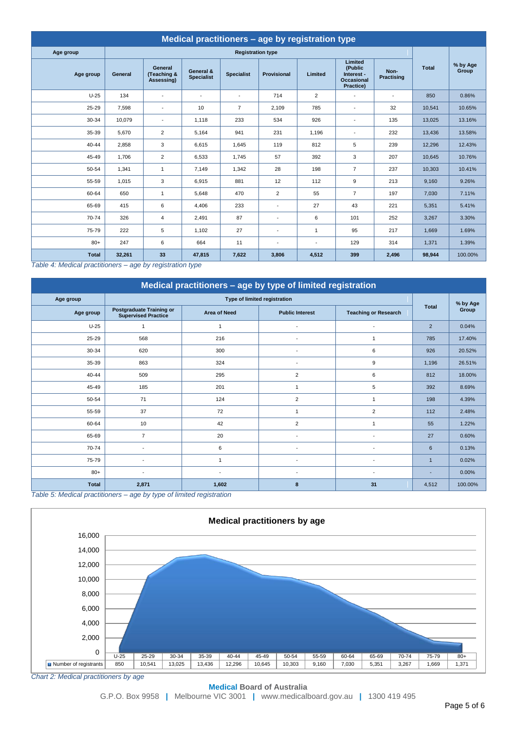<span id="page-4-0"></span>

| <b>Medical practitioners - age by registration type</b> |         |                                      |                                |                          |                          |                |                                                             |                           |              |                   |  |
|---------------------------------------------------------|---------|--------------------------------------|--------------------------------|--------------------------|--------------------------|----------------|-------------------------------------------------------------|---------------------------|--------------|-------------------|--|
| Age group                                               |         |                                      |                                | <b>Registration type</b> |                          |                |                                                             |                           |              |                   |  |
| Age group                                               | General | General<br>(Teaching &<br>Assessing) | General &<br><b>Specialist</b> | <b>Specialist</b>        | <b>Provisional</b>       | Limited        | Limited<br>(Public<br>Interest -<br>Occasional<br>Practice) | Non-<br><b>Practising</b> | <b>Total</b> | % by Age<br>Group |  |
| $U-25$                                                  | 134     | $\blacksquare$                       | $\sim$                         | $\overline{\phantom{a}}$ | 714                      | 2              | $\overline{a}$                                              | $\blacksquare$            | 850          | 0.86%             |  |
| 25-29                                                   | 7,598   | $\blacksquare$                       | 10                             | $\overline{7}$           | 2,109                    | 785            | $\overline{a}$                                              | 32                        | 10.541       | 10.65%            |  |
| $30 - 34$                                               | 10,079  | $\blacksquare$                       | 1,118                          | 233                      | 534                      | 926            | $\overline{\phantom{a}}$                                    | 135                       | 13,025       | 13.16%            |  |
| 35-39                                                   | 5,670   | $\overline{2}$                       | 5,164                          | 941                      | 231                      | 1,196          | $\overline{a}$                                              | 232                       | 13,436       | 13.58%            |  |
| $40 - 44$                                               | 2,858   | 3                                    | 6,615                          | 1,645                    | 119                      | 812            | 5                                                           | 239                       | 12,296       | 12.43%            |  |
| 45-49                                                   | 1,706   | $\overline{2}$                       | 6,533                          | 1,745                    | 57                       | 392            | 3                                                           | 207                       | 10,645       | 10.76%            |  |
| 50-54                                                   | 1,341   | $\mathbf{1}$                         | 7.149                          | 1,342                    | 28                       | 198            | $\overline{7}$                                              | 237                       | 10,303       | 10.41%            |  |
| 55-59                                                   | 1,015   | 3                                    | 6,915                          | 881                      | 12                       | 112            | 9                                                           | 213                       | 9,160        | 9.26%             |  |
| 60-64                                                   | 650     | $\mathbf{1}$                         | 5.648                          | 470                      | $\overline{2}$           | 55             | $\overline{7}$                                              | 197                       | 7.030        | 7.11%             |  |
| 65-69                                                   | 415     | 6                                    | 4,406                          | 233                      | $\overline{\phantom{a}}$ | 27             | 43                                                          | 221                       | 5,351        | 5.41%             |  |
| 70-74                                                   | 326     | $\overline{4}$                       | 2,491                          | 87                       | $\overline{\phantom{a}}$ | 6              | 101                                                         | 252                       | 3,267        | 3.30%             |  |
| 75-79                                                   | 222     | 5                                    | 1,102                          | 27                       | $\blacksquare$           | $\mathbf{1}$   | 95                                                          | 217                       | 1,669        | 1.69%             |  |
| $80+$                                                   | 247     | 6                                    | 664                            | 11                       | $\blacksquare$           | $\blacksquare$ | 129                                                         | 314                       | 1,371        | 1.39%             |  |
| <b>Total</b>                                            | 32,261  | 33                                   | 47,815                         | 7,622                    | 3,806                    | 4,512          | 399                                                         | 2,496                     | 98,944       | 100.00%           |  |

*Table 4: Medical practitioners – age by registration type*

<span id="page-4-1"></span>

| Medical practitioners - age by type of limited registration |                                                               |                                                                                 |                              |                             |                          |          |  |  |  |  |  |
|-------------------------------------------------------------|---------------------------------------------------------------|---------------------------------------------------------------------------------|------------------------------|-----------------------------|--------------------------|----------|--|--|--|--|--|
| Age group                                                   |                                                               |                                                                                 | Type of limited registration |                             |                          | % by Age |  |  |  |  |  |
| Age group                                                   | <b>Postgraduate Training or</b><br><b>Supervised Practice</b> | <b>Area of Need</b>                                                             | <b>Public Interest</b>       | <b>Teaching or Research</b> | <b>Total</b>             | Group    |  |  |  |  |  |
| $U-25$                                                      | $\mathbf{1}$                                                  | 1                                                                               |                              | $\overline{\phantom{a}}$    | $\overline{2}$           | 0.04%    |  |  |  |  |  |
| 25-29                                                       | 568                                                           | 216                                                                             |                              | $\overline{1}$              | 785                      | 17.40%   |  |  |  |  |  |
| 30-34                                                       | 620                                                           | 300                                                                             |                              | 6                           | 926                      | 20.52%   |  |  |  |  |  |
| 35-39                                                       | 863                                                           | 324                                                                             |                              | 9                           | 1,196                    | 26.51%   |  |  |  |  |  |
| $40 - 44$                                                   | 509                                                           | 295                                                                             | $\overline{2}$               | 6                           | 812                      | 18.00%   |  |  |  |  |  |
| 45-49                                                       | 185                                                           | 201                                                                             | 1                            | 5                           | 392                      | 8.69%    |  |  |  |  |  |
| 50-54                                                       | 71                                                            | 124                                                                             | $\overline{2}$               | $\overline{1}$              | 198                      | 4.39%    |  |  |  |  |  |
| 55-59                                                       | 37                                                            | 72                                                                              | $\overline{1}$               | $\overline{2}$              | 112                      | 2.48%    |  |  |  |  |  |
| 60-64                                                       | 10                                                            | 42                                                                              | $\overline{2}$               | $\mathbf{1}$                | 55                       | 1.22%    |  |  |  |  |  |
| 65-69                                                       | $\overline{7}$                                                | 20                                                                              |                              | $\overline{a}$              | 27                       | 0.60%    |  |  |  |  |  |
| 70-74                                                       |                                                               | 6                                                                               |                              |                             | $6\phantom{a}$           | 0.13%    |  |  |  |  |  |
| 75-79                                                       |                                                               | 1                                                                               |                              |                             | $\mathbf{1}$             | 0.02%    |  |  |  |  |  |
| $80+$                                                       |                                                               | $\blacksquare$                                                                  |                              | ٠                           | $\overline{\phantom{a}}$ | 0.00%    |  |  |  |  |  |
| <b>Total</b><br>_ _<br>$-0.00000$                           | 2,871<br>$\overline{\phantom{a}}$                             | 1,602<br>and the state of the state of the<br><b>Contract Contract Contract</b> | 8                            | 31                          | 4,512                    | 100.00%  |  |  |  |  |  |

*Table 5: Medical practitioners – age by type of limited registration*



*Chart 2: Medical practitioners by age*